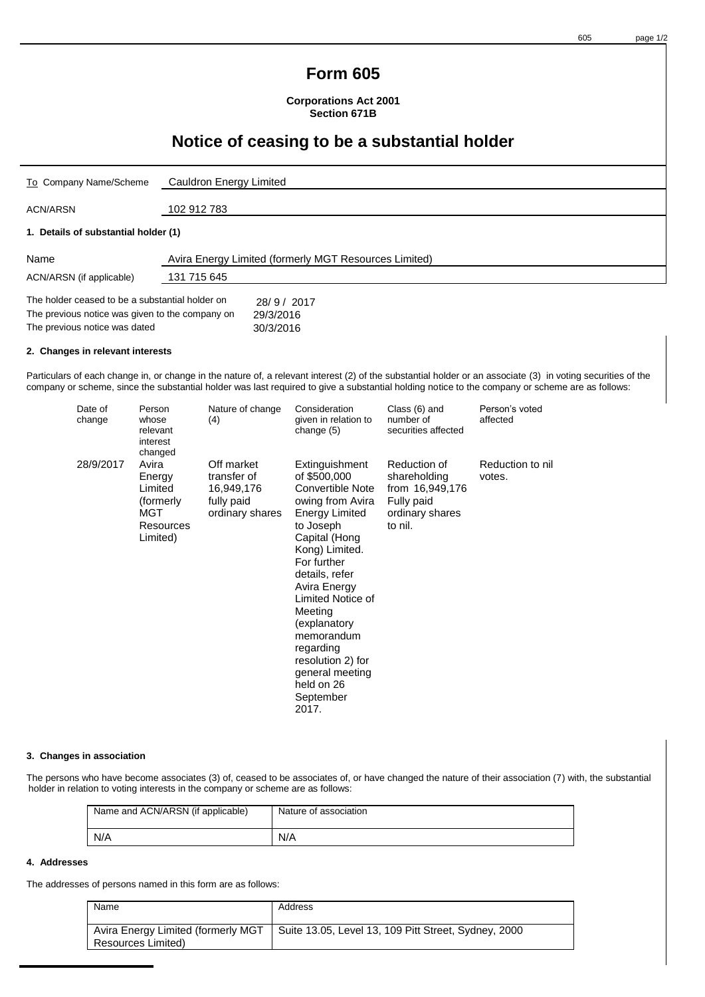#### 605 page 1/2

### **Form 605**

**Corporations Act 2001 Section 671B**

## **Notice of ceasing to be a substantial holder**

| To Company Name/Scheme                                                                             | Cauldron Energy Limited                               |  |  |  |
|----------------------------------------------------------------------------------------------------|-------------------------------------------------------|--|--|--|
| ACN/ARSN                                                                                           | 102 912 783                                           |  |  |  |
| 1. Details of substantial holder (1)                                                               |                                                       |  |  |  |
| Name                                                                                               | Avira Energy Limited (formerly MGT Resources Limited) |  |  |  |
| ACN/ARSN (if applicable)                                                                           | 131 715 645                                           |  |  |  |
| The holder ceased to be a substantial holder on<br>The previous notice was given to the company on | 28/9/2017<br>29/3/2016                                |  |  |  |

#### **2. Changes in relevant interests**

The previous notice was dated 30/3/2016

Particulars of each change in, or change in the nature of, a relevant interest (2) of the substantial holder or an associate (3) in voting securities of the company or scheme, since the substantial holder was last required to give a substantial holding notice to the company or scheme are as follows:

| Date of<br>change | Person<br>whose<br>relevant<br>interest<br>changed                       | Nature of change<br>(4)                                                  | Consideration<br>given in relation to<br>change (5)                                                                                                                                                                                                                                                                                                     | Class (6) and<br>number of<br>securities affected                                           | Person's voted<br>affected |
|-------------------|--------------------------------------------------------------------------|--------------------------------------------------------------------------|---------------------------------------------------------------------------------------------------------------------------------------------------------------------------------------------------------------------------------------------------------------------------------------------------------------------------------------------------------|---------------------------------------------------------------------------------------------|----------------------------|
| 28/9/2017         | Avira<br>Energy<br>Limited<br>(formerly)<br>MGT<br>Resources<br>Limited) | Off market<br>transfer of<br>16,949,176<br>fully paid<br>ordinary shares | Extinguishment<br>of \$500,000<br>Convertible Note<br>owing from Avira<br><b>Energy Limited</b><br>to Joseph<br>Capital (Hong<br>Kong) Limited.<br>For further<br>details, refer<br>Avira Energy<br>Limited Notice of<br>Meeting<br>(explanatory<br>memorandum<br>regarding<br>resolution 2) for<br>general meeting<br>held on 26<br>September<br>2017. | Reduction of<br>shareholding<br>from 16,949,176<br>Fully paid<br>ordinary shares<br>to nil. | Reduction to nil<br>votes. |

#### **3. Changes in association**

The persons who have become associates (3) of, ceased to be associates of, or have changed the nature of their association (7) with, the substantial holder in relation to voting interests in the company or scheme are as follows:

| Name and ACN/ARSN (if applicable) | Nature of association |
|-----------------------------------|-----------------------|
| N/A                               | N/A                   |

#### **4. Addresses**

The addresses of persons named in this form are as follows:

| Name                                                     | Address                                              |
|----------------------------------------------------------|------------------------------------------------------|
| Avira Energy Limited (formerly MGT<br>Resources Limited) | Suite 13.05, Level 13, 109 Pitt Street, Sydney, 2000 |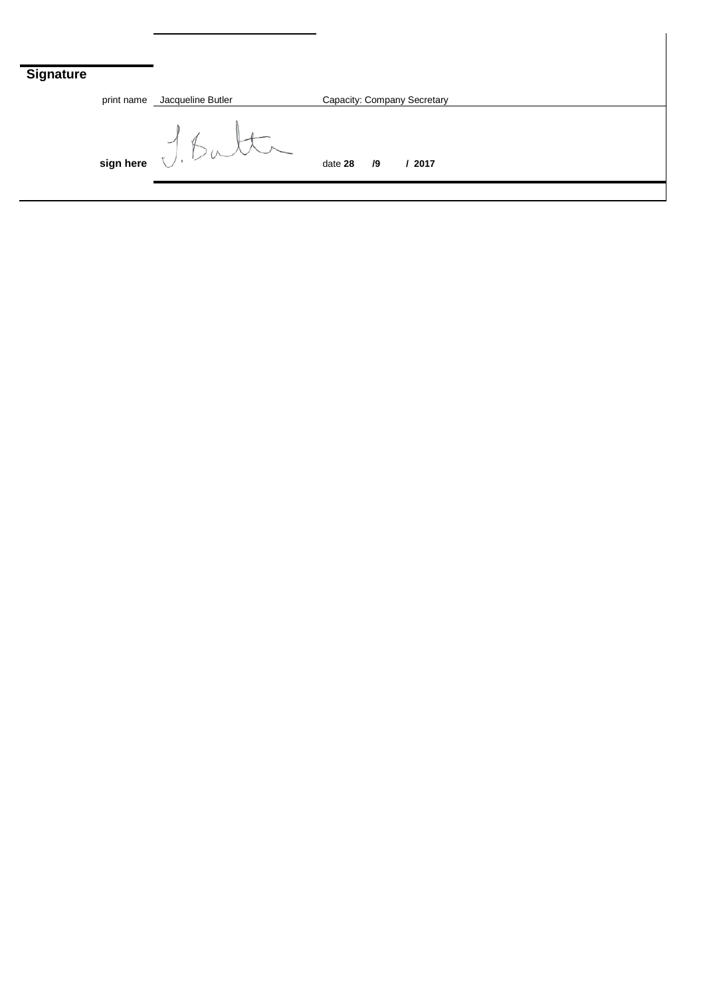# **Signatu**

| ure |                                                                                          |                   |                             |    |        |  |  |  |
|-----|------------------------------------------------------------------------------------------|-------------------|-----------------------------|----|--------|--|--|--|
|     | print name                                                                               | Jacqueline Butler | Capacity: Company Secretary |    |        |  |  |  |
|     | $\begin{array}{c} \begin{array}{c} \searrow \\ \text{sign here} \end{array} \end{array}$ |                   | date 28                     | /9 | / 2017 |  |  |  |